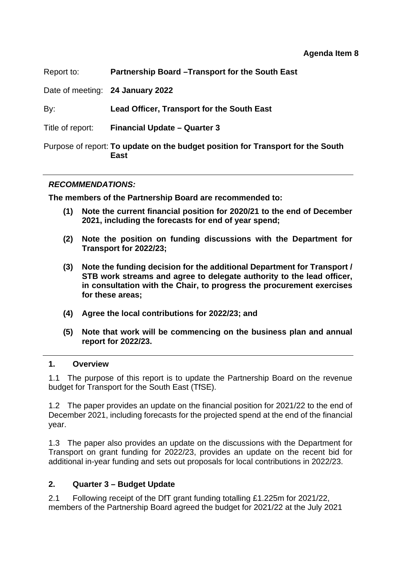| Report to:       | Partnership Board - Transport for the South East                                               |  |  |
|------------------|------------------------------------------------------------------------------------------------|--|--|
|                  | Date of meeting: 24 January 2022                                                               |  |  |
| By:              | <b>Lead Officer, Transport for the South East</b>                                              |  |  |
| Title of report: | <b>Financial Update - Quarter 3</b>                                                            |  |  |
|                  | Purpose of report: To update on the budget position for Transport for the South<br><b>East</b> |  |  |

#### *RECOMMENDATIONS:*

**The members of the Partnership Board are recommended to:** 

- **(1) Note the current financial position for 2020/21 to the end of December 2021, including the forecasts for end of year spend;**
- **(2) Note the position on funding discussions with the Department for Transport for 2022/23;**
- **(3) Note the funding decision for the additional Department for Transport / STB work streams and agree to delegate authority to the lead officer, in consultation with the Chair, to progress the procurement exercises for these areas;**
- **(4) Agree the local contributions for 2022/23; and**
- **(5) Note that work will be commencing on the business plan and annual report for 2022/23.**

#### **1. Overview**

1.1 The purpose of this report is to update the Partnership Board on the revenue budget for Transport for the South East (TfSE).

1.2 The paper provides an update on the financial position for 2021/22 to the end of December 2021, including forecasts for the projected spend at the end of the financial year.

1.3 The paper also provides an update on the discussions with the Department for Transport on grant funding for 2022/23, provides an update on the recent bid for additional in-year funding and sets out proposals for local contributions in 2022/23.

#### **2. Quarter 3 – Budget Update**

2.1 Following receipt of the DfT grant funding totalling £1.225m for 2021/22, members of the Partnership Board agreed the budget for 2021/22 at the July 2021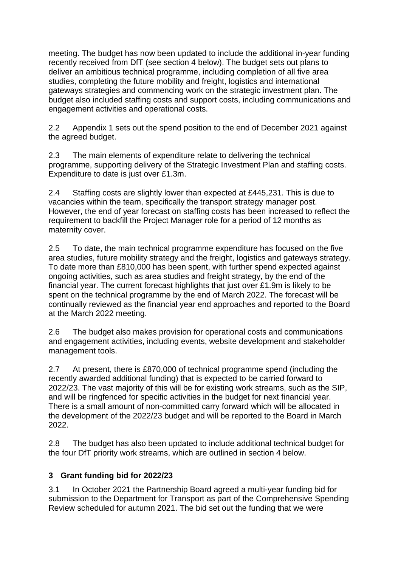meeting. The budget has now been updated to include the additional in-year funding recently received from DfT (see section 4 below). The budget sets out plans to deliver an ambitious technical programme, including completion of all five area studies, completing the future mobility and freight, logistics and international gateways strategies and commencing work on the strategic investment plan. The budget also included staffing costs and support costs, including communications and engagement activities and operational costs.

2.2 Appendix 1 sets out the spend position to the end of December 2021 against the agreed budget.

2.3 The main elements of expenditure relate to delivering the technical programme, supporting delivery of the Strategic Investment Plan and staffing costs. Expenditure to date is just over £1.3m.

2.4 Staffing costs are slightly lower than expected at £445,231. This is due to vacancies within the team, specifically the transport strategy manager post. However, the end of year forecast on staffing costs has been increased to reflect the requirement to backfill the Project Manager role for a period of 12 months as maternity cover.

2.5 To date, the main technical programme expenditure has focused on the five area studies, future mobility strategy and the freight, logistics and gateways strategy. To date more than £810,000 has been spent, with further spend expected against ongoing activities, such as area studies and freight strategy, by the end of the financial year. The current forecast highlights that just over £1.9m is likely to be spent on the technical programme by the end of March 2022. The forecast will be continually reviewed as the financial year end approaches and reported to the Board at the March 2022 meeting.

2.6 The budget also makes provision for operational costs and communications and engagement activities, including events, website development and stakeholder management tools.

2.7 At present, there is £870,000 of technical programme spend (including the recently awarded additional funding) that is expected to be carried forward to 2022/23. The vast majority of this will be for existing work streams, such as the SIP, and will be ringfenced for specific activities in the budget for next financial year. There is a small amount of non-committed carry forward which will be allocated in the development of the 2022/23 budget and will be reported to the Board in March 2022.

2.8 The budget has also been updated to include additional technical budget for the four DfT priority work streams, which are outlined in section 4 below.

### **3 Grant funding bid for 2022/23**

3.1 In October 2021 the Partnership Board agreed a multi-year funding bid for submission to the Department for Transport as part of the Comprehensive Spending Review scheduled for autumn 2021. The bid set out the funding that we were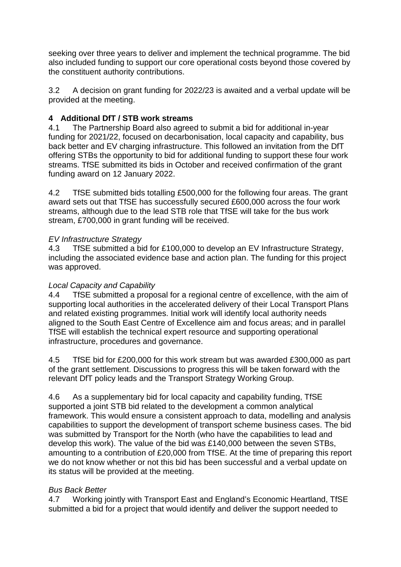seeking over three years to deliver and implement the technical programme. The bid also included funding to support our core operational costs beyond those covered by the constituent authority contributions.

3.2 A decision on grant funding for 2022/23 is awaited and a verbal update will be provided at the meeting.

### **4 Additional DfT / STB work streams**

4.1 The Partnership Board also agreed to submit a bid for additional in-year funding for 2021/22, focused on decarbonisation, local capacity and capability, bus back better and EV charging infrastructure. This followed an invitation from the DfT offering STBs the opportunity to bid for additional funding to support these four work streams. TfSE submitted its bids in October and received confirmation of the grant funding award on 12 January 2022.

4.2 TfSE submitted bids totalling £500,000 for the following four areas. The grant award sets out that TfSE has successfully secured £600,000 across the four work streams, although due to the lead STB role that TfSE will take for the bus work stream, £700,000 in grant funding will be received.

### *EV Infrastructure Strategy*

4.3 TfSE submitted a bid for £100,000 to develop an EV Infrastructure Strategy, including the associated evidence base and action plan. The funding for this project was approved.

#### *Local Capacity and Capability*

4.4 TfSE submitted a proposal for a regional centre of excellence, with the aim of supporting local authorities in the accelerated delivery of their Local Transport Plans and related existing programmes. Initial work will identify local authority needs aligned to the South East Centre of Excellence aim and focus areas; and in parallel TfSE will establish the technical expert resource and supporting operational infrastructure, procedures and governance.

4.5 TfSE bid for £200,000 for this work stream but was awarded £300,000 as part of the grant settlement. Discussions to progress this will be taken forward with the relevant DfT policy leads and the Transport Strategy Working Group.

4.6 As a supplementary bid for local capacity and capability funding, TfSE supported a joint STB bid related to the development a common analytical framework. This would ensure a consistent approach to data, modelling and analysis capabilities to support the development of transport scheme business cases. The bid was submitted by Transport for the North (who have the capabilities to lead and develop this work). The value of the bid was £140,000 between the seven STBs, amounting to a contribution of £20,000 from TfSE. At the time of preparing this report we do not know whether or not this bid has been successful and a verbal update on its status will be provided at the meeting.

#### *Bus Back Better*

4.7 Working jointly with Transport East and England's Economic Heartland, TfSE submitted a bid for a project that would identify and deliver the support needed to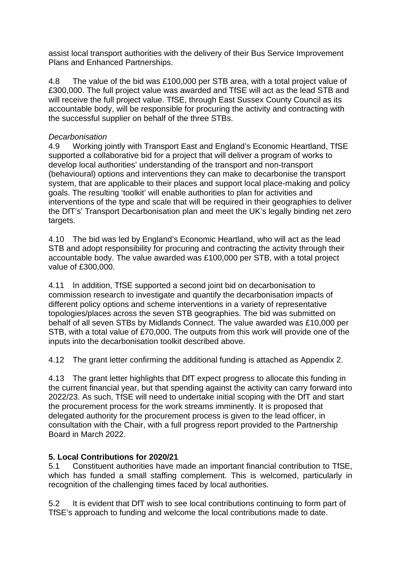assist local transport authorities with the delivery of their Bus Service Improvement Plans and Enhanced Partnerships.

4.8 The value of the bid was £100,000 per STB area, with a total project value of £300,000. The full project value was awarded and TfSE will act as the lead STB and will receive the full project value. TfSE, through East Sussex County Council as its accountable body, will be responsible for procuring the activity and contracting with the successful supplier on behalf of the three STBs.

#### *Decarbonisation*

4.9 Working jointly with Transport East and England's Economic Heartland, TfSE supported a collaborative bid for a project that will deliver a program of works to develop local authorities' understanding of the transport and non-transport (behavioural) options and interventions they can make to decarbonise the transport system, that are applicable to their places and support local place-making and policy goals. The resulting 'toolkit' will enable authorities to plan for activities and interventions of the type and scale that will be required in their geographies to deliver the DfT's' Transport Decarbonisation plan and meet the UK's legally binding net zero targets.

4.10 The bid was led by England's Economic Heartland, who will act as the lead STB and adopt responsibility for procuring and contracting the activity through their accountable body. The value awarded was £100,000 per STB, with a total project value of £300,000.

4.11 In addition, TfSE supported a second joint bid on decarbonisation to commission research to investigate and quantify the decarbonisation impacts of different policy options and scheme interventions in a variety of representative topologies/places across the seven STB geographies. The bid was submitted on behalf of all seven STBs by Midlands Connect. The value awarded was £10,000 per STB, with a total value of £70,000. The outputs from this work will provide one of the inputs into the decarbonisation toolkit described above.

4.12 The grant letter confirming the additional funding is attached as Appendix 2.

4.13 The grant letter highlights that DfT expect progress to allocate this funding in the current financial year, but that spending against the activity can carry forward into 2022/23. As such, TfSE will need to undertake initial scoping with the DfT and start the procurement process for the work streams imminently. It is proposed that delegated authority for the procurement process is given to the lead officer, in consultation with the Chair, with a full progress report provided to the Partnership Board in March 2022.

#### **5. Local Contributions for 2020/21**

5.1 Constituent authorities have made an important financial contribution to TfSE, which has funded a small staffing complement. This is welcomed, particularly in recognition of the challenging times faced by local authorities.

5.2 It is evident that DfT wish to see local contributions continuing to form part of TfSE's approach to funding and welcome the local contributions made to date.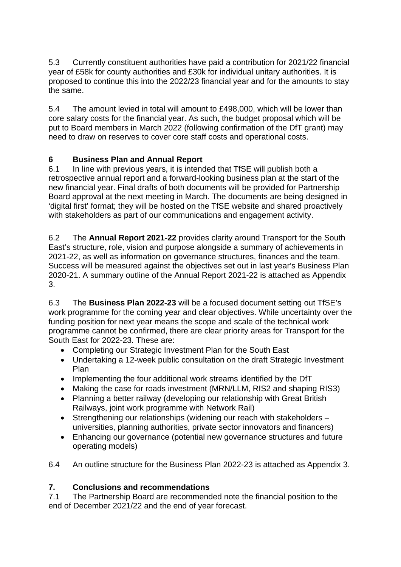5.3 Currently constituent authorities have paid a contribution for 2021/22 financial year of £58k for county authorities and £30k for individual unitary authorities. It is proposed to continue this into the 2022/23 financial year and for the amounts to stay the same.

5.4 The amount levied in total will amount to £498,000, which will be lower than core salary costs for the financial year. As such, the budget proposal which will be put to Board members in March 2022 (following confirmation of the DfT grant) may need to draw on reserves to cover core staff costs and operational costs.

### **6 Business Plan and Annual Report**

6.1 In line with previous years, it is intended that TfSE will publish both a retrospective annual report and a forward-looking business plan at the start of the new financial year. Final drafts of both documents will be provided for Partnership Board approval at the next meeting in March. The documents are being designed in 'digital first' format; they will be hosted on the TfSE website and shared proactively with stakeholders as part of our communications and engagement activity.

6.2 The **Annual Report 2021-22** provides clarity around Transport for the South East's structure, role, vision and purpose alongside a summary of achievements in 2021-22, as well as information on governance structures, finances and the team. Success will be measured against the objectives set out in last year's Business Plan 2020-21. A summary outline of the Annual Report 2021-22 is attached as Appendix 3.

6.3 The **Business Plan 2022-23** will be a focused document setting out TfSE's work programme for the coming year and clear objectives. While uncertainty over the funding position for next year means the scope and scale of the technical work programme cannot be confirmed, there are clear priority areas for Transport for the South East for 2022-23. These are:

- Completing our Strategic Investment Plan for the South East
- Undertaking a 12-week public consultation on the draft Strategic Investment Plan
- Implementing the four additional work streams identified by the DfT
- Making the case for roads investment (MRN/LLM, RIS2 and shaping RIS3)
- Planning a better railway (developing our relationship with Great British Railways, joint work programme with Network Rail)
- Strengthening our relationships (widening our reach with stakeholders universities, planning authorities, private sector innovators and financers)
- Enhancing our governance (potential new governance structures and future operating models)
- 6.4 An outline structure for the Business Plan 2022-23 is attached as Appendix 3.

#### **7. Conclusions and recommendations**

7.1 The Partnership Board are recommended note the financial position to the end of December 2021/22 and the end of year forecast.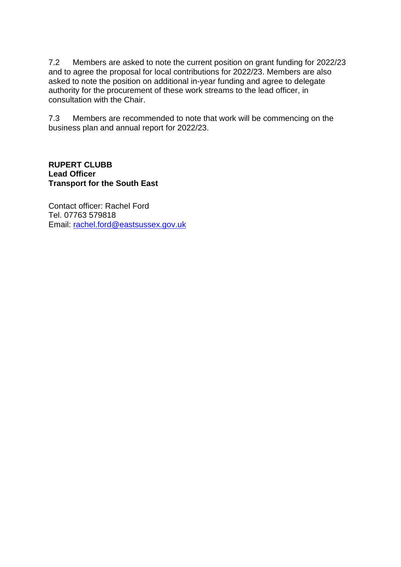7.2 Members are asked to note the current position on grant funding for 2022/23 and to agree the proposal for local contributions for 2022/23. Members are also asked to note the position on additional in-year funding and agree to delegate authority for the procurement of these work streams to the lead officer, in consultation with the Chair.

7.3 Members are recommended to note that work will be commencing on the business plan and annual report for 2022/23.

#### **RUPERT CLUBB Lead Officer Transport for the South East**

Contact officer: Rachel Ford Tel. 07763 579818 Email: [rachel.ford@eastsussex.gov.uk](mailto:rachel.ford@eastsussex.gov.uk)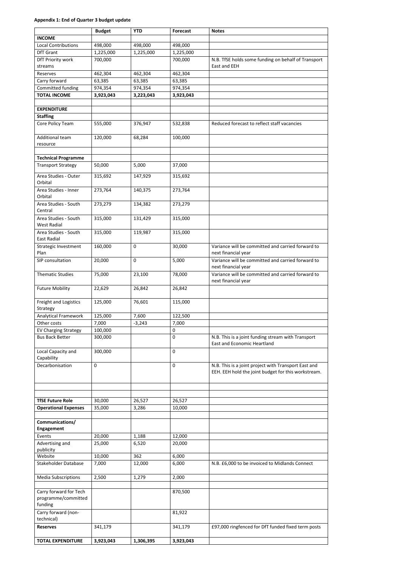#### **Appendix 1: End of Quarter 3 budget update**

|                                                          | <b>Budget</b> | <b>YTD</b> | <b>Forecast</b> | <b>Notes</b>                                                                             |
|----------------------------------------------------------|---------------|------------|-----------------|------------------------------------------------------------------------------------------|
| <b>INCOME</b>                                            |               |            |                 |                                                                                          |
| <b>Local Contributions</b>                               | 498,000       | 498,000    | 498,000         |                                                                                          |
| DfT Grant                                                | 1,225,000     | 1,225,000  | 1,225,000       |                                                                                          |
| DfT Priority work<br>streams                             | 700,000       |            | 700,000         | N.B. TfSE holds some funding on behalf of Transport<br>East and EEH                      |
| Reserves                                                 | 462,304       | 462,304    | 462,304         |                                                                                          |
| Carry forward                                            | 63,385        | 63,385     | 63,385          |                                                                                          |
| Committed funding                                        | 974,354       | 974,354    | 974,354         |                                                                                          |
| <b>TOTAL INCOME</b>                                      | 3,923,043     | 3,223,043  | 3,923,043       |                                                                                          |
|                                                          |               |            |                 |                                                                                          |
| <b>EXPENDITURE</b>                                       |               |            |                 |                                                                                          |
| <b>Staffing</b>                                          |               |            |                 |                                                                                          |
| Core Policy Team                                         | 555,000       | 376,947    | 532,838         | Reduced forecast to reflect staff vacancies                                              |
| Additional team<br>resource                              | 120,000       | 68,284     | 100,000         |                                                                                          |
| <b>Technical Programme</b>                               |               |            |                 |                                                                                          |
| <b>Transport Strategy</b>                                | 50,000        | 5,000      | 37,000          |                                                                                          |
| Area Studies - Outer<br>Orbital                          | 315,692       | 147,929    | 315,692         |                                                                                          |
| Area Studies - Inner<br>Orbital                          | 273,764       | 140,375    | 273,764         |                                                                                          |
| Area Studies - South                                     | 273,279       | 134,382    | 273,279         |                                                                                          |
| Central                                                  |               |            |                 |                                                                                          |
| Area Studies - South<br><b>West Radial</b>               | 315,000       | 131,429    | 315,000         |                                                                                          |
| Area Studies - South<br><b>East Radial</b>               | 315,000       | 119,987    | 315,000         |                                                                                          |
| <b>Strategic Investment</b><br>Plan                      | 160,000       | 0          | 30,000          | Variance will be committed and carried forward to<br>next financial year                 |
| SIP consultation                                         | 20,000        | 0          | 5,000           | Variance will be committed and carried forward to<br>next financial year                 |
| <b>Thematic Studies</b>                                  | 75,000        | 23,100     | 78,000          | Variance will be committed and carried forward to<br>next financial year                 |
| <b>Future Mobility</b>                                   | 22,629        | 26,842     | 26,842          |                                                                                          |
| Freight and Logistics<br>Strategy                        | 125,000       | 76,601     | 115,000         |                                                                                          |
| Analytical Framework                                     | 125,000       | 7,600      | 122,500         |                                                                                          |
| Other costs                                              | 7,000         | $-3,243$   | 7,000           |                                                                                          |
| <b>EV Charging Strategy</b>                              | 100,000       |            | $\pmb{0}$       |                                                                                          |
| <b>Bus Back Better</b>                                   | 300,000       |            | $\mathbf 0$     | N.B. This is a joint funding stream with Transport<br><b>East and Economic Heartland</b> |
| Local Capacity and<br>Capability                         | 300,000       |            | $\mathbf 0$     |                                                                                          |
| Decarbonisation                                          | 0             |            | $\mathbf 0$     | N.B. This is a joint project with Transport East and                                     |
|                                                          |               |            |                 | EEH. EEH hold the joint budget for this workstream.                                      |
|                                                          |               |            |                 |                                                                                          |
| <b>TfSE Future Role</b>                                  | 30,000        | 26,527     | 26,527          |                                                                                          |
| <b>Operational Expenses</b>                              | 35,000        | 3,286      | 10,000          |                                                                                          |
| Communications/                                          |               |            |                 |                                                                                          |
| Engagement                                               |               |            |                 |                                                                                          |
| Events                                                   | 20,000        | 1,188      | 12,000          |                                                                                          |
| Advertising and                                          | 25,000        | 6,520      | 20,000          |                                                                                          |
| publicity<br>Website                                     | 10,000        | 362        | 6,000           |                                                                                          |
| Stakeholder Database                                     | 7,000         | 12,000     | 6,000           | N.B. £6,000 to be invoiced to Midlands Connect                                           |
| <b>Media Subscriptions</b>                               | 2,500         | 1,279      | 2,000           |                                                                                          |
|                                                          |               |            |                 |                                                                                          |
| Carry forward for Tech<br>programme/committed<br>funding |               |            | 870,500         |                                                                                          |
| Carry forward (non-                                      |               |            | 81,922          |                                                                                          |
| technical)                                               |               |            |                 | £97,000 ringfenced for DfT funded fixed term posts                                       |
| <b>Reserves</b>                                          | 341,179       |            | 341,179         |                                                                                          |
| <b>TOTAL EXPENDITURE</b>                                 | 3,923,043     | 1,306,395  | 3,923,043       |                                                                                          |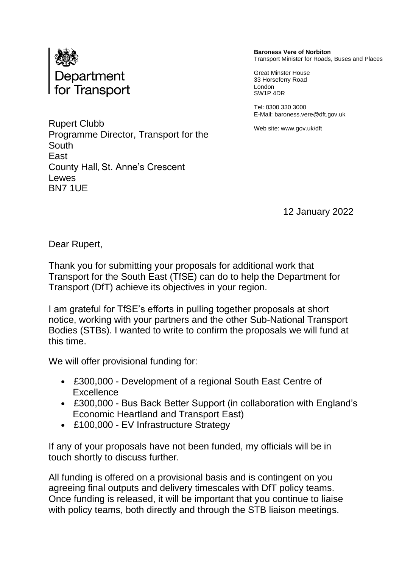

**Baroness Vere of Norbiton** Transport Minister for Roads, Buses and Places

Great Minster House 33 Horseferry Road London SW1P 4DR

Tel: 0300 330 3000 E-Mail: baroness.vere@dft.gov.uk

Web site: www.gov.uk/dft

Rupert Clubb Programme Director, Transport for the South East County Hall, St. Anne's Crescent Lewes BN7 1UE

12 January 2022

Dear Rupert,

Thank you for submitting your proposals for additional work that Transport for the South East (TfSE) can do to help the Department for Transport (DfT) achieve its objectives in your region.

I am grateful for TfSE's efforts in pulling together proposals at short notice, working with your partners and the other Sub-National Transport Bodies (STBs). I wanted to write to confirm the proposals we will fund at this time.

We will offer provisional funding for:

- £300,000 Development of a regional South East Centre of **Excellence**
- £300,000 Bus Back Better Support (in collaboration with England's Economic Heartland and Transport East)
- £100,000 EV Infrastructure Strategy

If any of your proposals have not been funded, my officials will be in touch shortly to discuss further.

All funding is offered on a provisional basis and is contingent on you agreeing final outputs and delivery timescales with DfT policy teams. Once funding is released, it will be important that you continue to liaise with policy teams, both directly and through the STB liaison meetings.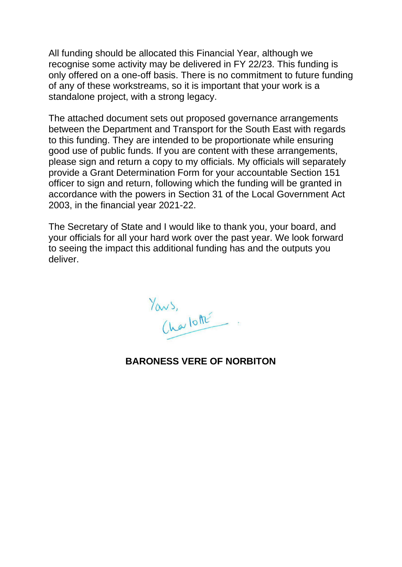All funding should be allocated this Financial Year, although we recognise some activity may be delivered in FY 22/23. This funding is only offered on a one-off basis. There is no commitment to future funding of any of these workstreams, so it is important that your work is a standalone project, with a strong legacy.

The attached document sets out proposed governance arrangements between the Department and Transport for the South East with regards to this funding. They are intended to be proportionate while ensuring good use of public funds. If you are content with these arrangements, please sign and return a copy to my officials. My officials will separately provide a Grant Determination Form for your accountable Section 151 officer to sign and return, following which the funding will be granted in accordance with the powers in Section 31 of the Local Government Act 2003, in the financial year 2021-22.

The Secretary of State and I would like to thank you, your board, and your officials for all your hard work over the past year. We look forward to seeing the impact this additional funding has and the outputs you deliver.

Yours,

### **BARONESS VERE OF NORBITON**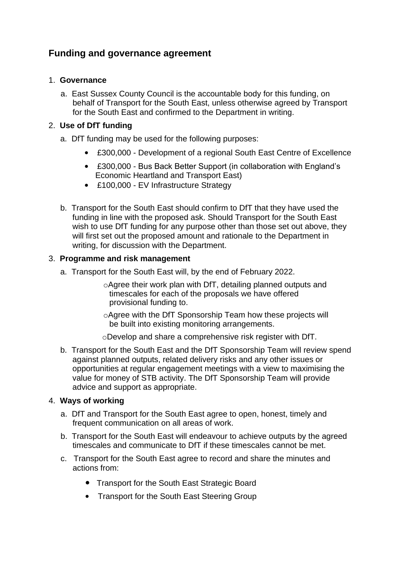### **Funding and governance agreement**

#### 1. **Governance**

a. East Sussex County Council is the accountable body for this funding, on behalf of Transport for the South East, unless otherwise agreed by Transport for the South East and confirmed to the Department in writing.

#### 2. **Use of DfT funding**

- a. DfT funding may be used for the following purposes:
	- £300,000 Development of a regional South East Centre of Excellence
	- £300,000 Bus Back Better Support (in collaboration with England's Economic Heartland and Transport East)
	- £100,000 EV Infrastructure Strategy
- b. Transport for the South East should confirm to DfT that they have used the funding in line with the proposed ask. Should Transport for the South East wish to use DfT funding for any purpose other than those set out above, they will first set out the proposed amount and rationale to the Department in writing, for discussion with the Department.

#### 3. **Programme and risk management**

- a. Transport for the South East will, by the end of February 2022.
	- oAgree their work plan with DfT, detailing planned outputs and timescales for each of the proposals we have offered provisional funding to.
	- oAgree with the DfT Sponsorship Team how these projects will be built into existing monitoring arrangements.

oDevelop and share a comprehensive risk register with DfT.

b. Transport for the South East and the DfT Sponsorship Team will review spend against planned outputs, related delivery risks and any other issues or opportunities at regular engagement meetings with a view to maximising the value for money of STB activity. The DfT Sponsorship Team will provide advice and support as appropriate.

#### 4. **Ways of working**

- a. DfT and Transport for the South East agree to open, honest, timely and frequent communication on all areas of work.
- b. Transport for the South East will endeavour to achieve outputs by the agreed timescales and communicate to DfT if these timescales cannot be met.
- c. Transport for the South East agree to record and share the minutes and actions from:
	- Transport for the South East Strategic Board
	- Transport for the South East Steering Group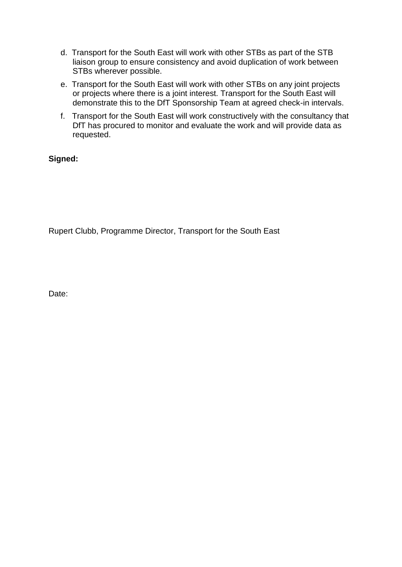- d. Transport for the South East will work with other STBs as part of the STB liaison group to ensure consistency and avoid duplication of work between STBs wherever possible.
- e. Transport for the South East will work with other STBs on any joint projects or projects where there is a joint interest. Transport for the South East will demonstrate this to the DfT Sponsorship Team at agreed check-in intervals.
- f. Transport for the South East will work constructively with the consultancy that DfT has procured to monitor and evaluate the work and will provide data as requested.

#### **Signed:**

Rupert Clubb, Programme Director, Transport for the South East

Date: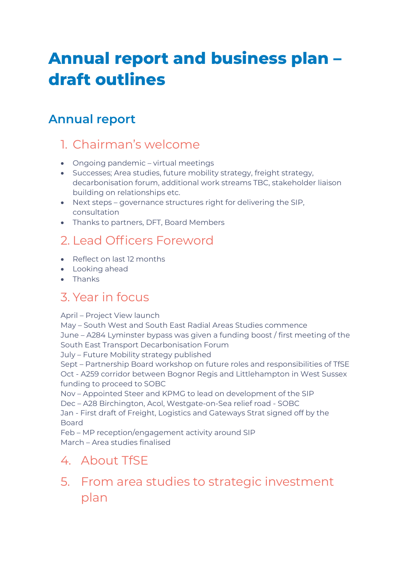# **Annual report and business plan – draft outlines**

## **Annual report**

### 1. Chairman's welcome

- Ongoing pandemic virtual meetings
- Successes; Area studies, future mobility strategy, freight strategy, decarbonisation forum, additional work streams TBC, stakeholder liaison building on relationships etc.
- Next steps governance structures right for delivering the SIP, consultation
- Thanks to partners, DFT, Board Members

### 2. Lead Officers Foreword

- Reflect on last 12 months
- Looking ahead
- **CENTER**

### 3. Year in focus

#### April – Project View launch

May – South West and South East Radial Areas Studies commence

June – A284 Lyminster bypass was given a funding boost / first meeting of the South East Transport Decarbonisation Forum

July – Future Mobility strategy published

Sept – Partnership Board workshop on future roles and responsibilities of TfSE Oct - A259 corridor between Bognor Regis and Littlehampton in West Sussex funding to proceed to SOBC

Nov – Appointed Steer and KPMG to lead on development of the SIP Dec – A28 Birchington, Acol, Westgate-on-Sea relief road - SOBC

Jan - First draft of Freight, Logistics and Gateways Strat signed off by the

Board

Feb – MP reception/engagement activity around SIP March – Area studies finalised

### 4. About TfSE

### 5. From area studies to strategic investment plan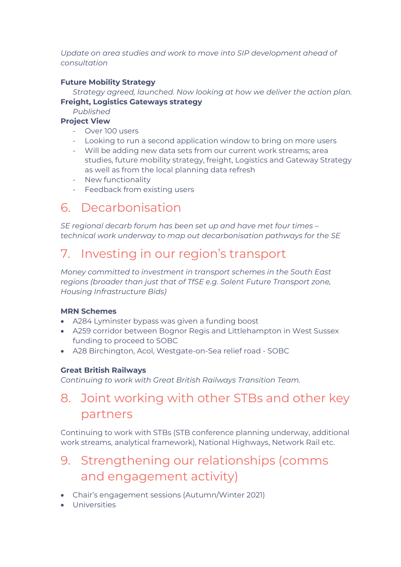*Update on area studies and work to move into SIP development ahead of consultation* 

#### **Future Mobility Strategy**

*Strategy agreed, launched. Now looking at how we deliver the action plan.*  **Freight, Logistics Gateways strategy** 

*Published* 

#### **Project View**

- Over 100 users
- Looking to run a second application window to bring on more users
- Will be adding new data sets from our current work streams; area studies, future mobility strategy, freight, Logistics and Gateway Strategy as well as from the local planning data refresh
- New functionality
- Feedback from existing users

### 6. Decarbonisation

*SE regional decarb forum has been set up and have met four times – technical work underway to map out decarbonisation pathways for the SE* 

### 7. Investing in our region's transport

*Money committed to investment in transport schemes in the South East regions (broader than just that of TfSE e.g. Solent Future Transport zone, Housing Infrastructure Bids)* 

#### **MRN Schemes**

- A284 Lyminster bypass was given a funding boost
- A259 corridor between Bognor Regis and Littlehampton in West Sussex funding to proceed to SOBC
- A28 Birchington, Acol, Westgate-on-Sea relief road SOBC

#### **Great British Railways**

*Continuing to work with Great British Railways Transition Team.* 

### 8. Joint working with other STBs and other key partners

Continuing to work with STBs (STB conference planning underway, additional work streams, analytical framework), National Highways, Network Rail etc.

### 9. Strengthening our relationships (comms and engagement activity)

- Chair's engagement sessions (Autumn/Winter 2021)
- **I** Universities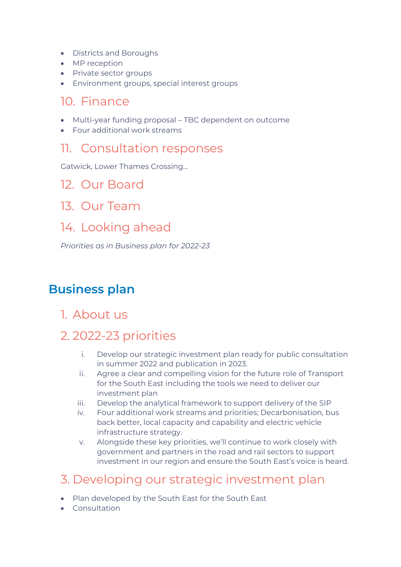- Districts and Boroughs
- MP reception
- Private sector groups
- Environment groups, special interest groups

### 10. Finance

- Multi-year funding proposal TBC dependent on outcome
- Four additional work streams

### 11. Consultation responses

Gatwick, Lower Thames Crossing…

### 12. Our Board

13. Our Team

### 14. Looking ahead

*Priorities as in Business plan for 2022-23* 

### **Business plan**

1. About us

### 2. 2022-23 priorities

- i. Develop our strategic investment plan ready for public consultation in summer 2022 and publication in 2023.
- ii. Agree a clear and compelling vision for the future role of Transport for the South East including the tools we need to deliver our investment plan
- iii. Develop the analytical framework to support delivery of the SIP
- iv. Four additional work streams and priorities; Decarbonisation, bus back better, local capacity and capability and electric vehicle infrastructure strategy.
- v. Alongside these key priorities, we'll continue to work closely with government and partners in the road and rail sectors to support investment in our region and ensure the South East's voice is heard.

### 3. Developing our strategic investment plan

- Plan developed by the South East for the South East
- Consultation